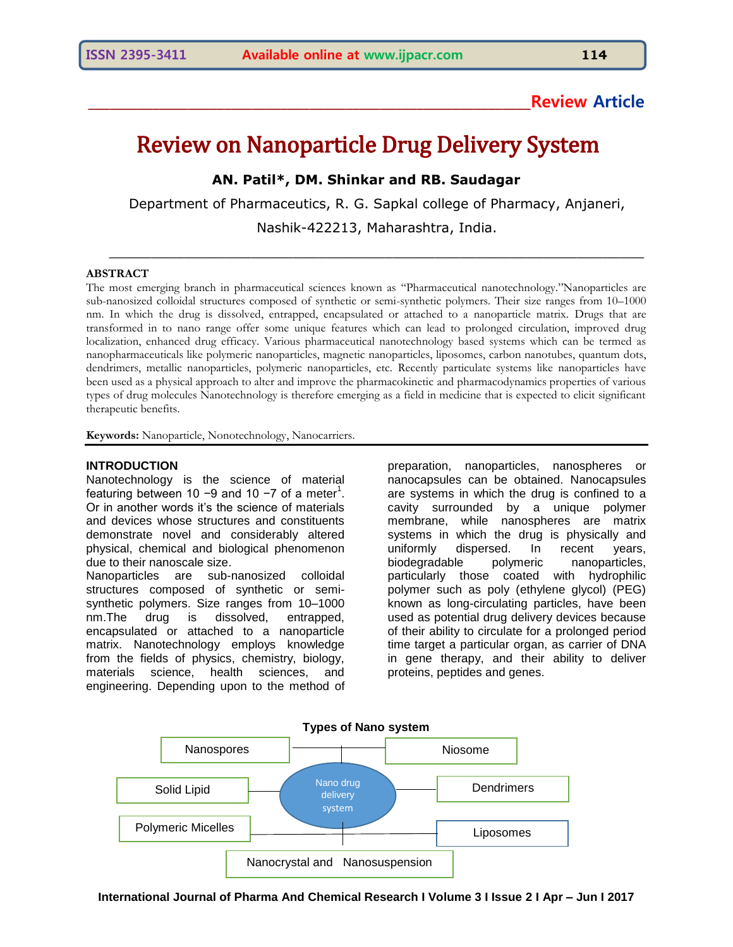# **\_\_\_\_\_\_\_\_\_\_\_\_\_\_\_\_\_\_\_\_\_\_\_\_\_\_\_\_\_\_\_\_\_\_\_\_\_\_\_\_\_\_\_\_\_\_\_\_\_\_\_\_\_\_\_\_\_\_\_\_\_\_Review Article**

# Review on Nanoparticle Drug Delivery System

**AN. Patil\*, DM. Shinkar and RB. Saudagar**

Department of Pharmaceutics, R. G. Sapkal college of Pharmacy, Anjaneri, Nashik-422213, Maharashtra, India.

\_\_\_\_\_\_\_\_\_\_\_\_\_\_\_\_\_\_\_\_\_\_\_\_\_\_\_\_\_\_\_\_\_\_\_\_\_\_\_\_\_\_\_\_\_\_\_\_\_\_\_\_\_\_\_\_\_\_\_\_\_\_\_\_

#### **ABSTRACT**

The most emerging branch in pharmaceutical sciences known as "Pharmaceutical nanotechnology."Nanoparticles are sub-nanosized colloidal structures composed of synthetic or semi-synthetic polymers. Their size ranges from 10–1000 nm. In which the drug is dissolved, entrapped, encapsulated or attached to a nanoparticle matrix. Drugs that are transformed in to nano range offer some unique features which can lead to prolonged circulation, improved drug localization, enhanced drug efficacy. Various pharmaceutical nanotechnology based systems which can be termed as nanopharmaceuticals like polymeric nanoparticles, magnetic nanoparticles, liposomes, carbon nanotubes, quantum dots, dendrimers, metallic nanoparticles, polymeric nanoparticles, etc. Recently particulate systems like nanoparticles have been used as a physical approach to alter and improve the pharmacokinetic and pharmacodynamics properties of various types of drug molecules Nanotechnology is therefore emerging as a field in medicine that is expected to elicit significant therapeutic benefits.

**Keywords:** Nanoparticle, Nonotechnology, Nanocarriers.

#### **INTRODUCTION**

Nanotechnology is the science of material featuring between 10 -9 and 10 -7 of a meter<sup>1</sup>. Or in another words it's the science of materials and devices whose structures and constituents demonstrate novel and considerably altered physical, chemical and biological phenomenon due to their nanoscale size.

Nanoparticles are sub-nanosized colloidal structures composed of synthetic or semisynthetic polymers. Size ranges from 10–1000 nm.The drug is dissolved, entrapped, encapsulated or attached to a nanoparticle matrix. Nanotechnology employs knowledge from the fields of physics, chemistry, biology, materials science, health sciences, and engineering. Depending upon to the method of

preparation, nanoparticles, nanospheres or nanocapsules can be obtained. Nanocapsules are systems in which the drug is confined to a cavity surrounded by a unique polymer membrane, while nanospheres are matrix systems in which the drug is physically and uniformly dispersed. In recent years, biodegradable polymeric nanoparticles, particularly those coated with hydrophilic polymer such as poly (ethylene glycol) (PEG) known as long-circulating particles, have been used as potential drug delivery devices because of their ability to circulate for a prolonged period time target a particular organ, as carrier of DNA in gene therapy, and their ability to deliver proteins, peptides and genes.

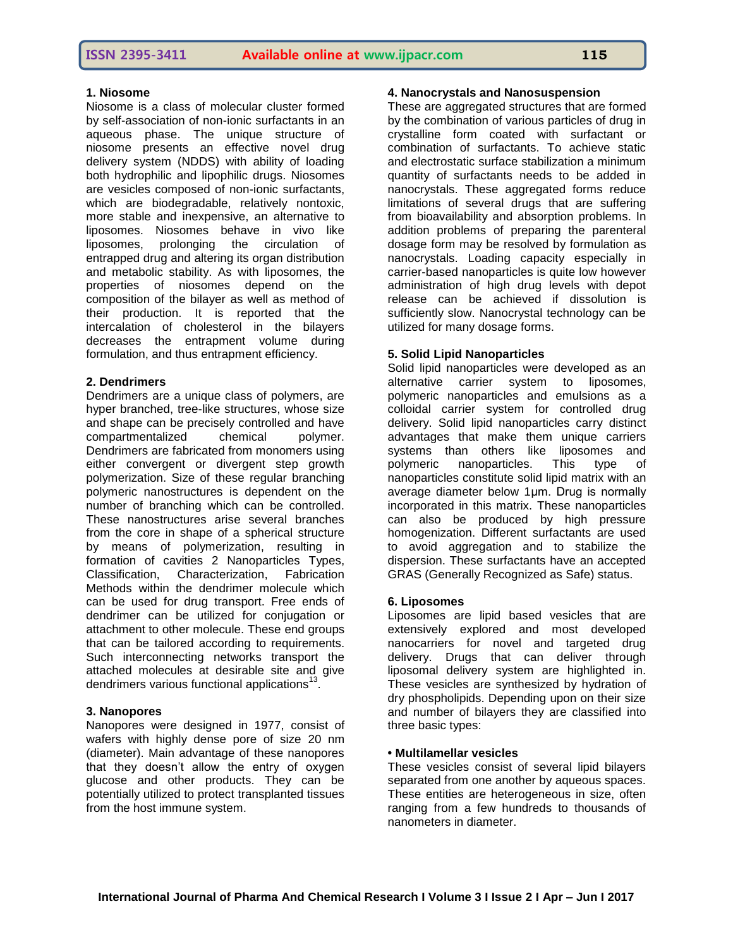#### **1. Niosome**

Niosome is a class of molecular cluster formed by self-association of non-ionic surfactants in an aqueous phase. The unique structure of niosome presents an effective novel drug delivery system (NDDS) with ability of loading both hydrophilic and lipophilic drugs. Niosomes are vesicles composed of non-ionic surfactants, which are biodegradable, relatively nontoxic, more stable and inexpensive, an alternative to liposomes. Niosomes behave in vivo like liposomes, prolonging the circulation of entrapped drug and altering its organ distribution and metabolic stability. As with liposomes, the properties of niosomes depend on the composition of the bilayer as well as method of their production. It is reported that the intercalation of cholesterol in the bilayers decreases the entrapment volume during formulation, and thus entrapment efficiency.

#### **2. Dendrimers**

Dendrimers are a unique class of polymers, are hyper branched, tree-like structures, whose size and shape can be precisely controlled and have<br>compartmentalized chemical polymer. compartmentalized chemical Dendrimers are fabricated from monomers using either convergent or divergent step growth polymerization. Size of these regular branching polymeric nanostructures is dependent on the number of branching which can be controlled. These nanostructures arise several branches from the core in shape of a spherical structure by means of polymerization, resulting in formation of cavities 2 Nanoparticles Types, Classification, Characterization, Fabrication Methods within the dendrimer molecule which can be used for drug transport. Free ends of dendrimer can be utilized for conjugation or attachment to other molecule. These end groups that can be tailored according to requirements. Such interconnecting networks transport the attached molecules at desirable site and give dendrimers various functional applications $^{13}$ .

#### **3. Nanopores**

Nanopores were designed in 1977, consist of wafers with highly dense pore of size 20 nm (diameter). Main advantage of these nanopores that they doesn't allow the entry of oxygen glucose and other products. They can be potentially utilized to protect transplanted tissues from the host immune system.

#### **4. Nanocrystals and Nanosuspension**

These are aggregated structures that are formed by the combination of various particles of drug in crystalline form coated with surfactant or combination of surfactants. To achieve static and electrostatic surface stabilization a minimum quantity of surfactants needs to be added in nanocrystals. These aggregated forms reduce limitations of several drugs that are suffering from bioavailability and absorption problems. In addition problems of preparing the parenteral dosage form may be resolved by formulation as nanocrystals. Loading capacity especially in carrier-based nanoparticles is quite low however administration of high drug levels with depot release can be achieved if dissolution is sufficiently slow. Nanocrystal technology can be utilized for many dosage forms.

# **5. Solid Lipid Nanoparticles**

Solid lipid nanoparticles were developed as an alternative carrier system to liposomes, polymeric nanoparticles and emulsions as a colloidal carrier system for controlled drug delivery. Solid lipid nanoparticles carry distinct advantages that make them unique carriers systems than others like liposomes and polymeric nanoparticles. This type of nanoparticles constitute solid lipid matrix with an average diameter below 1μm. Drug is normally incorporated in this matrix. These nanoparticles can also be produced by high pressure homogenization. Different surfactants are used to avoid aggregation and to stabilize the dispersion. These surfactants have an accepted GRAS (Generally Recognized as Safe) status.

#### **6. Liposomes**

Liposomes are lipid based vesicles that are extensively explored and most developed nanocarriers for novel and targeted drug delivery. Drugs that can deliver through liposomal delivery system are highlighted in. These vesicles are synthesized by hydration of dry phospholipids. Depending upon on their size and number of bilayers they are classified into three basic types:

#### **• Multilamellar vesicles**

These vesicles consist of several lipid bilayers separated from one another by aqueous spaces. These entities are heterogeneous in size, often ranging from a few hundreds to thousands of nanometers in diameter.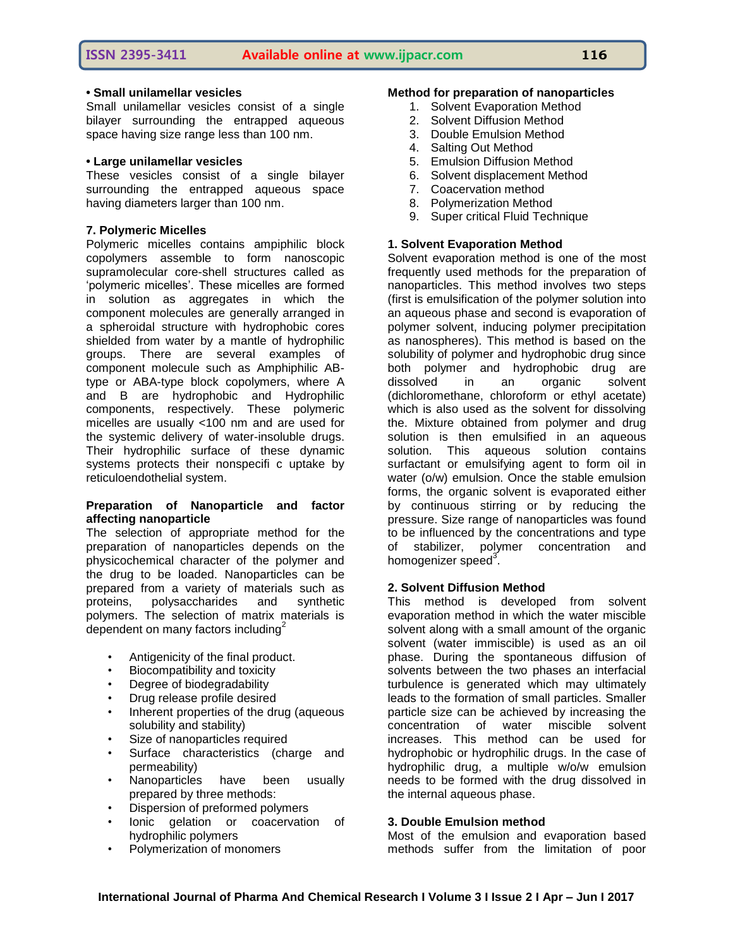#### **• Small unilamellar vesicles**

Small unilamellar vesicles consist of a single bilayer surrounding the entrapped aqueous space having size range less than 100 nm.

#### **• Large unilamellar vesicles**

These vesicles consist of a single bilayer surrounding the entrapped aqueous space having diameters larger than 100 nm.

#### **7. Polymeric Micelles**

Polymeric micelles contains ampiphilic block copolymers assemble to form nanoscopic supramolecular core-shell structures called as 'polymeric micelles'. These micelles are formed in solution as aggregates in which the component molecules are generally arranged in a spheroidal structure with hydrophobic cores shielded from water by a mantle of hydrophilic groups. There are several examples of component molecule such as Amphiphilic ABtype or ABA-type block copolymers, where A and B are hydrophobic and Hydrophilic components, respectively. These polymeric micelles are usually <100 nm and are used for the systemic delivery of water-insoluble drugs. Their hydrophilic surface of these dynamic systems protects their nonspecifi c uptake by reticuloendothelial system.

#### **Preparation of Nanoparticle and factor affecting nanoparticle**

The selection of appropriate method for the preparation of nanoparticles depends on the physicochemical character of the polymer and the drug to be loaded. Nanoparticles can be prepared from a variety of materials such as proteins, polysaccharides and synthetic polymers. The selection of matrix materials is dependent on many factors including $2$ 

- Antigenicity of the final product.
- Biocompatibility and toxicity
- Degree of biodegradability
- Drug release profile desired
- Inherent properties of the drug (aqueous solubility and stability)
- Size of nanoparticles required
- Surface characteristics (charge and permeability)
- Nanoparticles have been usually prepared by three methods:
- Dispersion of preformed polymers
- lonic gelation or coacervation of hydrophilic polymers
- Polymerization of monomers

## **Method for preparation of nanoparticles**

- 1. Solvent Evaporation Method
- 2. Solvent Diffusion Method
- 3. Double Emulsion Method
- 4. Salting Out Method
- 5. Emulsion Diffusion Method
- 6. Solvent displacement Method
- 7. Coacervation method
- 8. Polymerization Method
- 9. Super critical Fluid Technique

## **1. Solvent Evaporation Method**

Solvent evaporation method is one of the most frequently used methods for the preparation of nanoparticles. This method involves two steps (first is emulsification of the polymer solution into an aqueous phase and second is evaporation of polymer solvent, inducing polymer precipitation as nanospheres). This method is based on the solubility of polymer and hydrophobic drug since both polymer and hydrophobic drug are dissolved in an organic solvent (dichloromethane, chloroform or ethyl acetate) which is also used as the solvent for dissolving the. Mixture obtained from polymer and drug solution is then emulsified in an aqueous solution. This aqueous solution contains surfactant or emulsifying agent to form oil in water (o/w) emulsion. Once the stable emulsion forms, the organic solvent is evaporated either by continuous stirring or by reducing the pressure. Size range of nanoparticles was found to be influenced by the concentrations and type of stabilizer, polymer concentration and homogenizer speed<sup>3</sup>.

#### **2. Solvent Diffusion Method**

This method is developed from solvent evaporation method in which the water miscible solvent along with a small amount of the organic solvent (water immiscible) is used as an oil phase. During the spontaneous diffusion of solvents between the two phases an interfacial turbulence is generated which may ultimately leads to the formation of small particles. Smaller particle size can be achieved by increasing the concentration of water miscible solvent increases. This method can be used for hydrophobic or hydrophilic drugs. In the case of hydrophilic drug, a multiple w/o/w emulsion needs to be formed with the drug dissolved in the internal aqueous phase.

# **3. Double Emulsion method**

Most of the emulsion and evaporation based methods suffer from the limitation of poor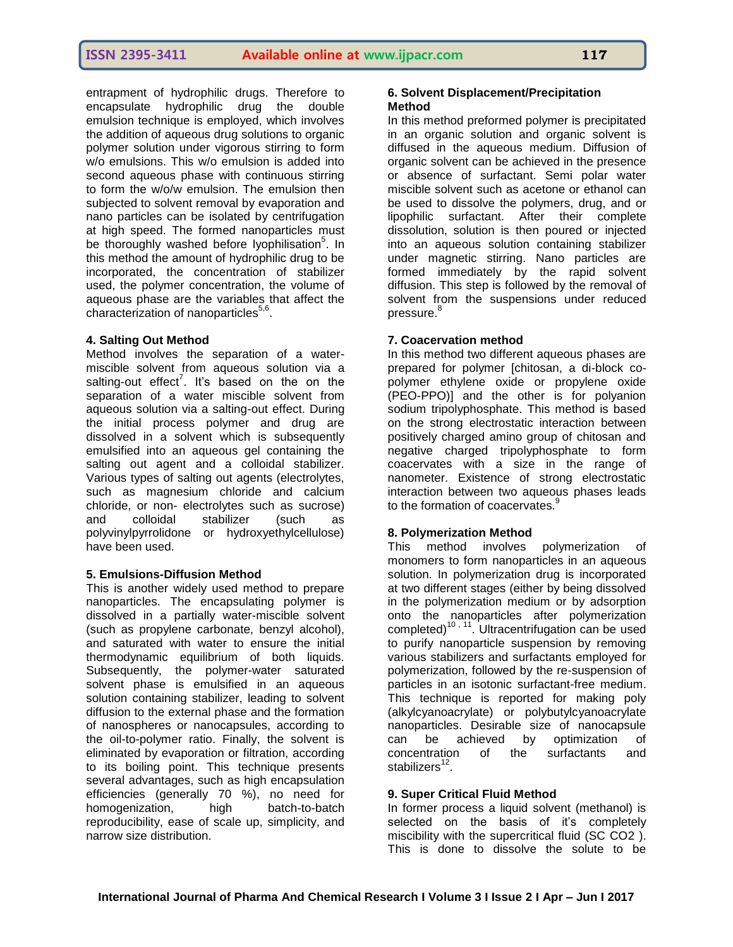entrapment of hydrophilic drugs. Therefore to encapsulate hydrophilic drug the double emulsion technique is employed, which involves the addition of aqueous drug solutions to organic polymer solution under vigorous stirring to form w/o emulsions. This w/o emulsion is added into second aqueous phase with continuous stirring to form the w/o/w emulsion. The emulsion then subjected to solvent removal by evaporation and nano particles can be isolated by centrifugation at high speed. The formed nanoparticles must be thoroughly washed before lyophilisation<sup>5</sup>. In this method the amount of hydrophilic drug to be incorporated, the concentration of stabilizer used, the polymer concentration, the volume of aqueous phase are the variables that affect the characterization of nanoparticles<sup>5,6</sup>.

#### **4. Salting Out Method**

Method involves the separation of a watermiscible solvent from aqueous solution via a salting-out effect<sup>7</sup>. It's based on the on the separation of a water miscible solvent from aqueous solution via a salting-out effect. During the initial process polymer and drug are dissolved in a solvent which is subsequently emulsified into an aqueous gel containing the salting out agent and a colloidal stabilizer. Various types of salting out agents (electrolytes, such as magnesium chloride and calcium chloride, or non- electrolytes such as sucrose) and colloidal stabilizer (such as polyvinylpyrrolidone or hydroxyethylcellulose) have been used.

#### **5. Emulsions-Diffusion Method**

This is another widely used method to prepare nanoparticles. The encapsulating polymer is dissolved in a partially water-miscible solvent (such as propylene carbonate, benzyl alcohol), and saturated with water to ensure the initial thermodynamic equilibrium of both liquids. Subsequently, the polymer-water saturated solvent phase is emulsified in an aqueous solution containing stabilizer, leading to solvent diffusion to the external phase and the formation of nanospheres or nanocapsules, according to the oil-to-polymer ratio. Finally, the solvent is eliminated by evaporation or filtration, according to its boiling point. This technique presents several advantages, such as high encapsulation efficiencies (generally 70 %), no need for homogenization, high batch-to-batch reproducibility, ease of scale up, simplicity, and narrow size distribution.

## **6. Solvent Displacement/Precipitation Method**

In this method preformed polymer is precipitated in an organic solution and organic solvent is diffused in the aqueous medium. Diffusion of organic solvent can be achieved in the presence or absence of surfactant. Semi polar water miscible solvent such as acetone or ethanol can be used to dissolve the polymers, drug, and or lipophilic surfactant. After their complete dissolution, solution is then poured or injected into an aqueous solution containing stabilizer under magnetic stirring. Nano particles are formed immediately by the rapid solvent diffusion. This step is followed by the removal of solvent from the suspensions under reduced pressure.<sup>8</sup>

# **7. Coacervation method**

In this method two different aqueous phases are prepared for polymer [chitosan, a di-block copolymer ethylene oxide or propylene oxide (PEO-PPO)] and the other is for polyanion sodium tripolyphosphate. This method is based on the strong electrostatic interaction between positively charged amino group of chitosan and negative charged tripolyphosphate to form coacervates with a size in the range of nanometer. Existence of strong electrostatic interaction between two aqueous phases leads to the formation of coacervates.<sup>9</sup>

# **8. Polymerization Method**

This method involves polymerization of monomers to form nanoparticles in an aqueous solution. In polymerization drug is incorporated at two different stages (either by being dissolved in the polymerization medium or by adsorption onto the nanoparticles after polymerization completed) $10, 11$ . Ultracentrifugation can be used to purify nanoparticle suspension by removing various stabilizers and surfactants employed for polymerization, followed by the re-suspension of particles in an isotonic surfactant-free medium. This technique is reported for making poly (alkylcyanoacrylate) or polybutylcyanoacrylate nanoparticles. Desirable size of nanocapsule can be achieved by optimization of concentration of the surfactants and stabilizers<sup>12</sup>.

#### **9. Super Critical Fluid Method**

In former process a liquid solvent (methanol) is selected on the basis of it's completely miscibility with the supercritical fluid (SC CO2 ). This is done to dissolve the solute to be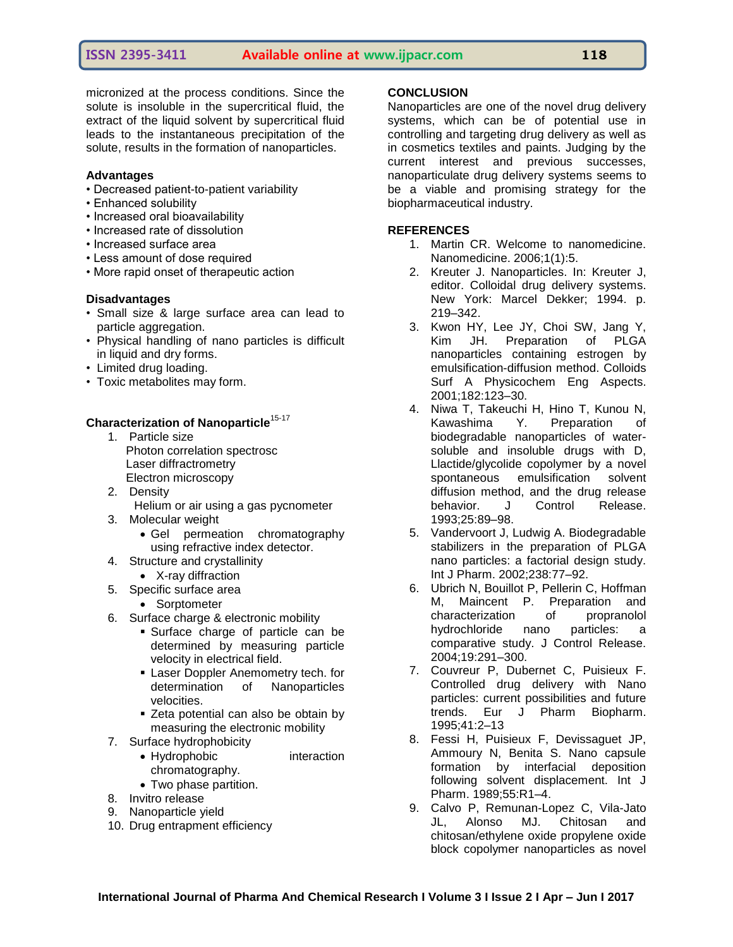micronized at the process conditions. Since the solute is insoluble in the supercritical fluid, the extract of the liquid solvent by supercritical fluid leads to the instantaneous precipitation of the solute, results in the formation of nanoparticles.

#### **Advantages**

- Decreased patient-to-patient variability
- Enhanced solubility
- Increased oral bioavailability
- Increased rate of dissolution
- Increased surface area
- Less amount of dose required
- More rapid onset of therapeutic action

#### **Disadvantages**

- Small size & large surface area can lead to particle aggregation.
- Physical handling of nano particles is difficult in liquid and dry forms.
- Limited drug loading.
- Toxic metabolites may form.

# **Characterization of Nanoparticle** 15-17

- 1. Particle size Photon correlation spectrosc Laser diffractrometry Electron microscopy
- 2. Density Helium or air using a gas pycnometer
- 3. Molecular weight
	- Gel permeation chromatography using refractive index detector.
- 4. Structure and crystallinity
	- X-ray diffraction
- 5. Specific surface area
	- Sorptometer
- 6. Surface charge & electronic mobility
	- Surface charge of particle can be determined by measuring particle velocity in electrical field.
	- **Exampler Anemometry tech. for** determination of Nanoparticles velocities.
	- **Zeta potential can also be obtain by** measuring the electronic mobility
- 7. Surface hydrophobicity
	- Hydrophobic interaction chromatography.
	- Two phase partition.
- 8. Invitro release
- 9. Nanoparticle yield
- 10. Drug entrapment efficiency

#### **CONCLUSION**

Nanoparticles are one of the novel drug delivery systems, which can be of potential use in controlling and targeting drug delivery as well as in cosmetics textiles and paints. Judging by the current interest and previous successes, nanoparticulate drug delivery systems seems to be a viable and promising strategy for the biopharmaceutical industry.

#### **REFERENCES**

- 1. Martin CR. Welcome to nanomedicine. Nanomedicine. 2006;1(1):5.
- 2. Kreuter J. Nanoparticles. In: Kreuter J, editor. Colloidal drug delivery systems. New York: Marcel Dekker; 1994. p. 219–342.
- 3. Kwon HY, Lee JY, Choi SW, Jang Y, Kim JH. Preparation of PLGA nanoparticles containing estrogen by emulsification-diffusion method. Colloids Surf A Physicochem Eng Aspects. 2001;182:123–30.
- 4. Niwa T, Takeuchi H, Hino T, Kunou N, Kawashima Y. Preparation of biodegradable nanoparticles of watersoluble and insoluble drugs with D, Llactide/glycolide copolymer by a novel spontaneous emulsification solvent diffusion method, and the drug release behavior. J Control Release. 1993;25:89–98.
- 5. Vandervoort J, Ludwig A. Biodegradable stabilizers in the preparation of PLGA nano particles: a factorial design study. Int J Pharm. 2002;238:77–92.
- 6. Ubrich N, Bouillot P, Pellerin C, Hoffman M, Maincent P. Preparation and characterization of propranolol hydrochloride nano particles: a comparative study. J Control Release. 2004;19:291–300.
- 7. Couvreur P, Dubernet C, Puisieux F. Controlled drug delivery with Nano particles: current possibilities and future trends. Eur J Pharm Biopharm. 1995;41:2–13
- 8. Fessi H, Puisieux F, Devissaguet JP, Ammoury N, Benita S. Nano capsule formation by interfacial deposition following solvent displacement. Int J Pharm. 1989;55:R1–4.
- 9. Calvo P, Remunan-Lopez C, Vila-Jato JL, Alonso MJ. Chitosan and chitosan/ethylene oxide propylene oxide block copolymer nanoparticles as novel